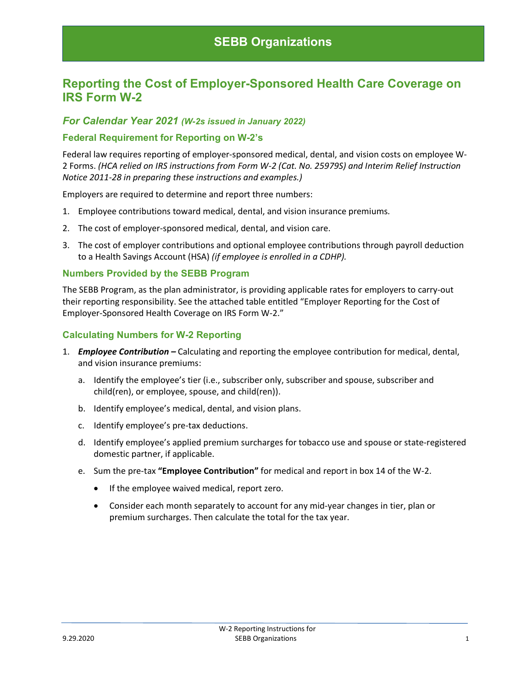# **Reporting the Cost of Employer-Sponsored Health Care Coverage on IRS Form W-2**

## *For Calendar Year 2021 (W-2s issued in January 2022)*

#### **Federal Requirement for Reporting on W-2's**

Federal law requires reporting of employer-sponsored medical, dental, and vision costs on employee W-2 Forms. *(HCA relied on IRS instructions from Form W-2 (Cat. No. 25979S) and Interim Relief Instruction Notice 2011-28 in preparing these instructions and examples.)*

Employers are required to determine and report three numbers:

- 1. Employee contributions toward medical, dental, and vision insurance premiums*.*
- 2. The cost of employer-sponsored medical, dental, and vision care.
- 3. The cost of employer contributions and optional employee contributions through payroll deduction to a Health Savings Account (HSA) *(if employee is enrolled in a CDHP).*

#### **Numbers Provided by the SEBB Program**

The SEBB Program, as the plan administrator, is providing applicable rates for employers to carry-out their reporting responsibility. See the attached table entitled "Employer Reporting for the Cost of Employer-Sponsored Health Coverage on IRS Form W-2."

#### **Calculating Numbers for W-2 Reporting**

- 1. *Employee Contribution –* Calculating and reporting the employee contribution for medical, dental, and vision insurance premiums:
	- a. Identify the employee's tier (i.e., subscriber only, subscriber and spouse, subscriber and child(ren), or employee, spouse, and child(ren)).
	- b. Identify employee's medical, dental, and vision plans.
	- c. Identify employee's pre-tax deductions.
	- d. Identify employee's applied premium surcharges for tobacco use and spouse or state-registered domestic partner, if applicable.
	- e. Sum the pre-tax **"Employee Contribution"** for medical and report in box 14 of the W-2.
		- If the employee waived medical, report zero.
		- Consider each month separately to account for any mid-year changes in tier, plan or premium surcharges. Then calculate the total for the tax year.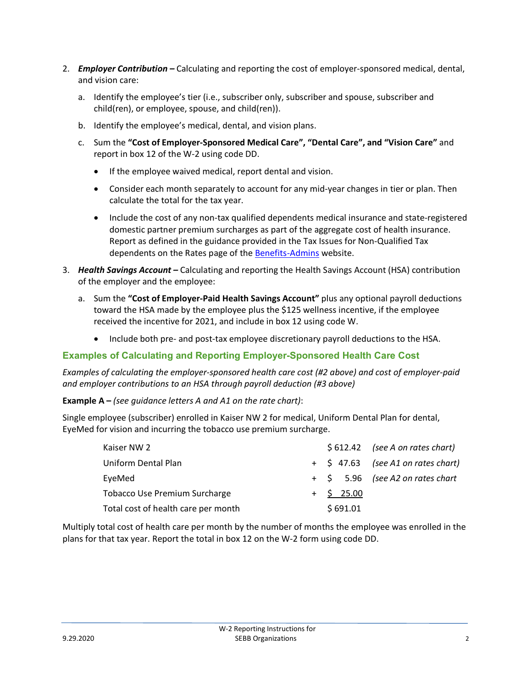- 2. *Employer Contribution –* Calculating and reporting the cost of employer-sponsored medical, dental, and vision care:
	- a. Identify the employee's tier (i.e., subscriber only, subscriber and spouse, subscriber and child(ren), or employee, spouse, and child(ren)).
	- b. Identify the employee's medical, dental, and vision plans.
	- c. Sum the **"Cost of Employer-Sponsored Medical Care", "Dental Care", and "Vision Care"** and report in box 12 of the W-2 using code DD.
		- If the employee waived medical, report dental and vision.
		- Consider each month separately to account for any mid-year changes in tier or plan. Then calculate the total for the tax year.
		- Include the cost of any non-tax qualified dependents medical insurance and state-registered domestic partner premium surcharges as part of the aggregate cost of health insurance. Report as defined in the guidance provided in the Tax Issues for Non-Qualified Tax dependents on the Rates page of th[e Benefits-Admins](https://www.hca.wa.gov/sebb-benefits-admins/rates-information) website.
- 3. *Health Savings Account –* Calculating and reporting the Health Savings Account (HSA) contribution of the employer and the employee:
	- a. Sum the **"Cost of Employer-Paid Health Savings Account"** plus any optional payroll deductions toward the HSA made by the employee plus the \$125 wellness incentive, if the employee received the incentive for 2021, and include in box 12 using code W.
		- Include both pre- and post-tax employee discretionary payroll deductions to the HSA.

## **Examples of Calculating and Reporting Employer-Sponsored Health Care Cost**

*Examples of calculating the employer-sponsored health care cost (#2 above) and cost of employer-paid and employer contributions to an HSA through payroll deduction (#3 above)*

**Example A –** *(see guidance letters A and A1 on the rate chart)*:

Single employee (subscriber) enrolled in Kaiser NW 2 for medical, Uniform Dental Plan for dental, EyeMed for vision and incurring the tobacco use premium surcharge.

| Kaiser NW 2                          |              | $$612.42$ (see A on rates chart)  |
|--------------------------------------|--------------|-----------------------------------|
| Uniform Dental Plan                  |              | + \$47.63 (see A1 on rates chart) |
| EyeMed                               |              | + \$ 5.96 (see A2 on rates chart  |
| <b>Tobacco Use Premium Surcharge</b> | $+$ \$ 25.00 |                                   |
| Total cost of health care per month  | \$691.01     |                                   |

Multiply total cost of health care per month by the number of months the employee was enrolled in the plans for that tax year. Report the total in box 12 on the W-2 form using code DD.